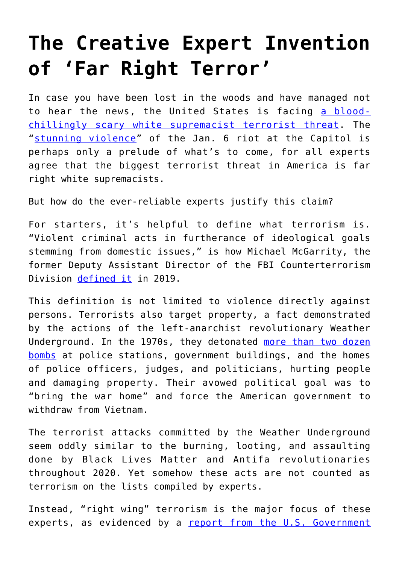## **[The Creative Expert Invention](https://intellectualtakeout.org/2021/03/the-creative-expert-invention-of-far-right-terror/) [of 'Far Right Terror'](https://intellectualtakeout.org/2021/03/the-creative-expert-invention-of-far-right-terror/)**

In case you have been lost in the woods and have managed not to hear the news, the United States is facing [a blood](https://www.mynbc5.com/article/watch-live-fbi-head-faces-questions-on-extremism-capitol-riot/35689346)[chillingly scary white supremacist terrorist threat](https://www.mynbc5.com/article/watch-live-fbi-head-faces-questions-on-extremism-capitol-riot/35689346). The "[stunning violence"](https://fox59.com/infocus-podcasts/in-focus-panelists-discuss-impact-of-stunning-violence-in-dc-role-of-hoosiers-involved/) of the Jan. 6 riot at the Capitol is perhaps only a prelude of what's to come, for all experts agree that the biggest terrorist threat in America is far right white supremacists.

But how do the ever-reliable experts justify this claim?

For starters, it's helpful to define what terrorism is. "Violent criminal acts in furtherance of ideological goals stemming from domestic issues," is how Michael McGarrity, the former Deputy Assistant Director of the FBI Counterterrorism Division [defined it](https://crsreports.congress.gov/product/pdf/IN/IN11573) in 2019.

This definition is not limited to violence directly against persons. Terrorists also target property, a fact demonstrated by the actions of the left-anarchist revolutionary Weather Underground. In the 1970s, they detonated [more than two dozen](https://time.com/4549409/the-weather-underground-bad-moon-rising/) [bombs](https://time.com/4549409/the-weather-underground-bad-moon-rising/) at police stations, government buildings, and the homes of police officers, judges, and politicians, hurting people and damaging property. Their avowed political goal was to "bring the war home" and force the American government to withdraw from Vietnam.

The terrorist attacks committed by the Weather Underground seem oddly similar to the burning, looting, and assaulting done by Black Lives Matter and Antifa revolutionaries throughout 2020. Yet somehow these acts are not counted as terrorism on the lists compiled by experts.

Instead, "right wing" terrorism is the major focus of these experts, as evidenced by a [report from the U.S. Government](https://www.gao.gov/assets/690/683984.pdf)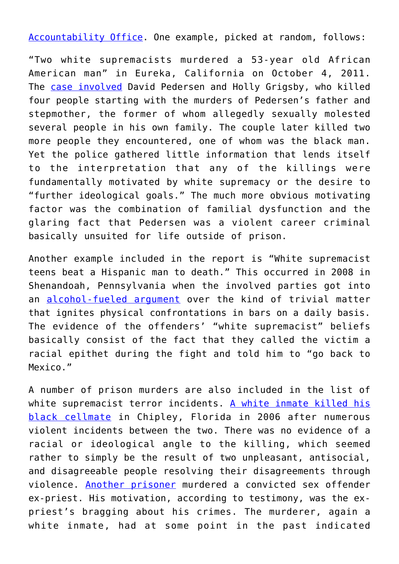[Accountability Office](https://www.gao.gov/assets/690/683984.pdf). One example, picked at random, follows:

"Two white supremacists murdered a 53-year old African American man" in Eureka, California on October 4, 2011. The [case involved](https://abcnews.go.com/US/west-coast-white-supremacist-couple-tied-fourth-murder/story?id=14706262) David Pedersen and Holly Grigsby, who killed four people starting with the murders of Pedersen's father and stepmother, the former of whom allegedly sexually molested several people in his own family. The couple later killed two more people they encountered, one of whom was the black man. Yet the police gathered little information that lends itself to the interpretation that any of the killings were fundamentally motivated by white supremacy or the desire to "further ideological goals." The much more obvious motivating factor was the combination of familial dysfunction and the glaring fact that Pedersen was a violent career criminal basically unsuited for life outside of prison.

Another example included in the report is "White supremacist teens beat a Hispanic man to death." This occurred in 2008 in Shenandoah, Pennsylvania when the involved parties got into an [alcohol-fueled argument](https://www.nytimes.com/2010/10/15/us/15scranton.html) over the kind of trivial matter that ignites physical confrontations in bars on a daily basis. The evidence of the offenders' "white supremacist" beliefs basically consist of the fact that they called the victim a racial epithet during the fight and told him to "go back to Mexico."

A number of prison murders are also included in the list of white supremacist terror incidents. [A white inmate killed his](http://gm5-daweb.newscyclecloud.com/article/20150929/NEWS/150929173) [black cellmate](http://gm5-daweb.newscyclecloud.com/article/20150929/NEWS/150929173) in Chipley, Florida in 2006 after numerous violent incidents between the two. There was no evidence of a racial or ideological angle to the killing, which seemed rather to simply be the result of two unpleasant, antisocial, and disagreeable people resolving their disagreements through violence. [Another prisoner](https://www.nytimes.com/2006/01/24/us/inmate-testifies-why-he-killed-molester-priest.html) murdered a convicted sex offender ex-priest. His motivation, according to testimony, was the expriest's bragging about his crimes. The murderer, again a white inmate, had at some point in the past indicated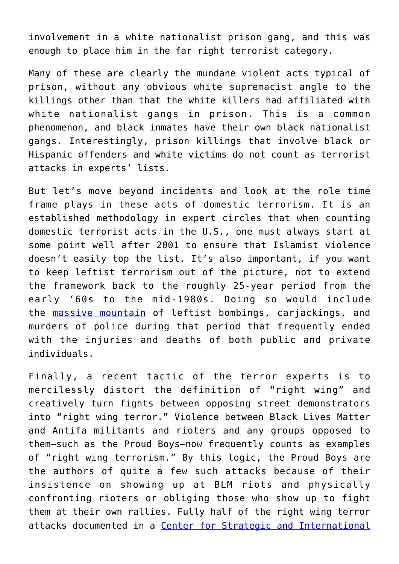involvement in a white nationalist prison gang, and this was enough to place him in the far right terrorist category.

Many of these are clearly the mundane violent acts typical of prison, without any obvious white supremacist angle to the killings other than that the white killers had affiliated with white nationalist gangs in prison. This is a common phenomenon, and black inmates have their own black nationalist gangs. Interestingly, prison killings that involve black or Hispanic offenders and white victims do not count as terrorist attacks in experts' lists.

But let's move beyond incidents and look at the role time frame plays in these acts of domestic terrorism. It is an established methodology in expert circles that when counting domestic terrorist acts in the U.S., one must always start at some point well after 2001 to ensure that Islamist violence doesn't easily top the list. It's also important, if you want to keep leftist terrorism out of the picture, not to extend the framework back to the roughly 25-year period from the early '60s to the mid-1980s. Doing so would include the [massive mountain](https://time.com/4501670/bombings-of-america-burrough/) of leftist bombings, carjackings, and murders of police during that period that frequently ended with the injuries and deaths of both public and private individuals.

Finally, a recent tactic of the terror experts is to mercilessly distort the definition of "right wing" and creatively turn fights between opposing street demonstrators into "right wing terror." Violence between Black Lives Matter and Antifa militants and rioters and any groups opposed to them—such as the Proud Boys—now frequently counts as examples of "right wing terrorism." By this logic, the Proud Boys are the authors of quite a few such attacks because of their insistence on showing up at BLM riots and physically confronting rioters or obliging those who show up to fight them at their own rallies. Fully half of the right wing terror attacks documented in a [Center for Strategic and International](https://csis-website-prod.s3.amazonaws.com/s3fs-public/publication/201021_Jones_War_Comes_Home_v2.pdf)